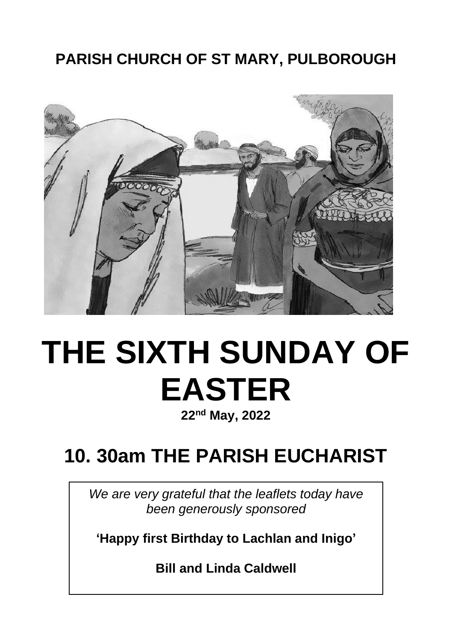# **PARISH CHURCH OF ST MARY, PULBOROUGH**



# **THE SIXTH SUNDAY OF EASTER**

**22nd May, 2022**

# **10. 30am THE PARISH EUCHARIST**

*We are very grateful that the leaflets today have been generously sponsored*

**'Happy first Birthday to Lachlan and Inigo'**

**Bill and Linda Caldwell**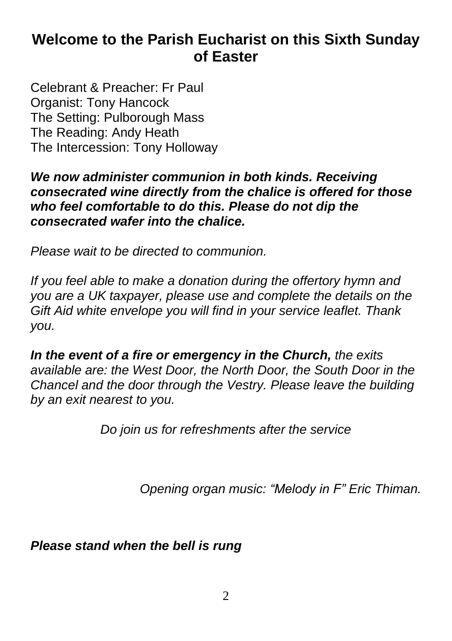# **Welcome to the Parish Eucharist on this Sixth Sunday of Easter**

Celebrant & Preacher: Fr Paul Organist: Tony Hancock The Setting: Pulborough Mass The Reading: Andy Heath The Intercession: Tony Holloway

#### *We now administer communion in both kinds. Receiving consecrated wine directly from the chalice is offered for those who feel comfortable to do this. Please do not dip the consecrated wafer into the chalice.*

*Please wait to be directed to communion.*

*If you feel able to make a donation during the offertory hymn and you are a UK taxpayer, please use and complete the details on the Gift Aid white envelope you will find in your service leaflet. Thank you.*

*In the event of a fire or emergency in the Church, the exits available are: the West Door, the North Door, the South Door in the Chancel and the door through the Vestry. Please leave the building by an exit nearest to you.*

*Do join us for refreshments after the service*

*Opening organ music: "Melody in F" Eric Thiman.*

*Please stand when the bell is rung*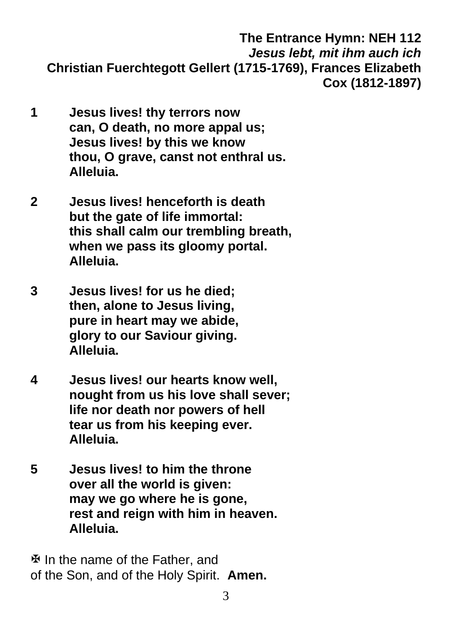**The Entrance Hymn: NEH 112** *Jesus lebt, mit ihm auch ich*  **Christian Fuerchtegott Gellert (1715-1769), Frances Elizabeth Cox (1812-1897)**

- **1 Jesus lives! thy terrors now can, O death, no more appal us; Jesus lives! by this we know thou, O grave, canst not enthral us. Alleluia.**
- **2 Jesus lives! henceforth is death but the gate of life immortal: this shall calm our trembling breath, when we pass its gloomy portal. Alleluia.**
- **3 Jesus lives! for us he died; then, alone to Jesus living, pure in heart may we abide, glory to our Saviour giving. Alleluia.**
- **4 Jesus lives! our hearts know well, nought from us his love shall sever; life nor death nor powers of hell tear us from his keeping ever. Alleluia.**
- **5 Jesus lives! to him the throne over all the world is given: may we go where he is gone, rest and reign with him in heaven. Alleluia.**

 $\Phi$  In the name of the Father, and of the Son, and of the Holy Spirit. **Amen.**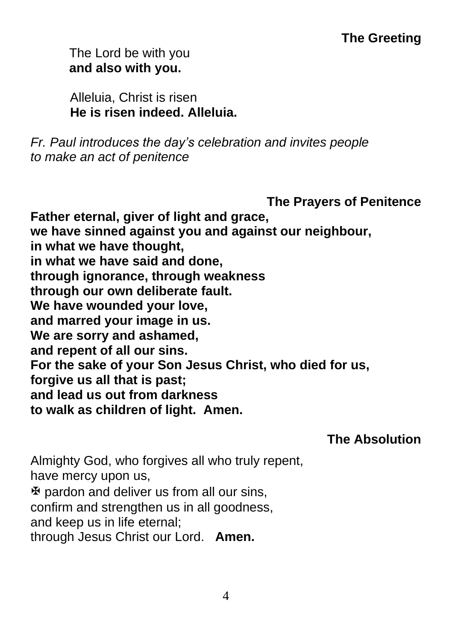# **The Greeting**

The Lord be with you **and also with you.**

 Alleluia, Christ is risen  **He is risen indeed. Alleluia.**

*Fr. Paul introduces the day's celebration and invites people to make an act of penitence*

**The Prayers of Penitence**

**Father eternal, giver of light and grace, we have sinned against you and against our neighbour, in what we have thought, in what we have said and done, through ignorance, through weakness through our own deliberate fault. We have wounded your love, and marred your image in us. We are sorry and ashamed, and repent of all our sins. For the sake of your Son Jesus Christ, who died for us, forgive us all that is past; and lead us out from darkness to walk as children of light. Amen.**

**The Absolution**

Almighty God, who forgives all who truly repent, have mercy upon us,  $\mathfrak F$  pardon and deliver us from all our sins, confirm and strengthen us in all goodness, and keep us in life eternal; through Jesus Christ our Lord. **Amen.**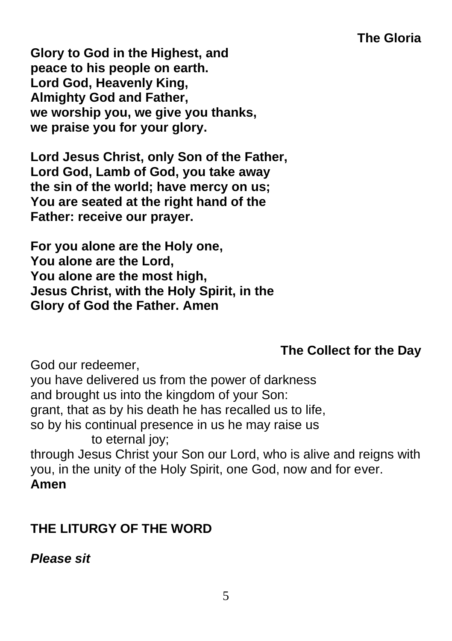# **The Gloria**

**Glory to God in the Highest, and peace to his people on earth. Lord God, Heavenly King, Almighty God and Father, we worship you, we give you thanks, we praise you for your glory.**

**Lord Jesus Christ, only Son of the Father, Lord God, Lamb of God, you take away the sin of the world; have mercy on us; You are seated at the right hand of the Father: receive our prayer.**

**For you alone are the Holy one, You alone are the Lord, You alone are the most high, Jesus Christ, with the Holy Spirit, in the Glory of God the Father. Amen**

# **The Collect for the Day**

God our redeemer, you have delivered us from the power of darkness and brought us into the kingdom of your Son: grant, that as by his death he has recalled us to life, so by his continual presence in us he may raise us to eternal joy; through Jesus Christ your Son our Lord, who is alive and reigns with you, in the unity of the Holy Spirit, one God, now and for ever. **Amen**

# **THE LITURGY OF THE WORD**

# *Please sit*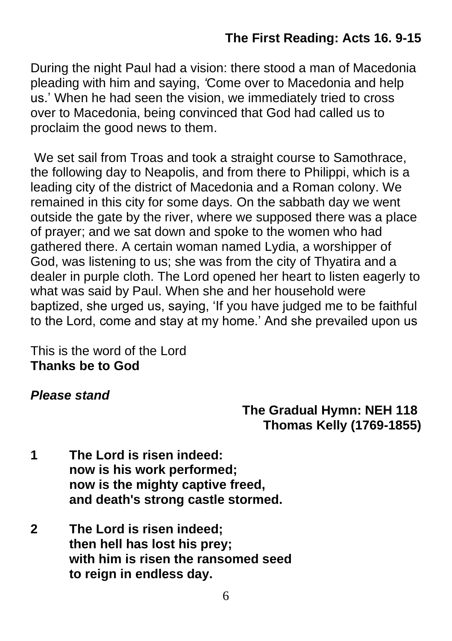# **The First Reading: Acts 16. 9-15**

During the night Paul had a vision: there stood a man of Macedonia pleading with him and saying, *'*Come over to Macedonia and help us.' When he had seen the vision, we immediately tried to cross over to Macedonia, being convinced that God had called us to proclaim the good news to them.

We set sail from Troas and took a straight course to Samothrace, the following day to Neapolis, and from there to Philippi, which is a leading city of the district of Macedonia and a Roman colony. We remained in this city for some days. On the sabbath day we went outside the gate by the river, where we supposed there was a place of prayer; and we sat down and spoke to the women who had gathered there. A certain woman named Lydia, a worshipper of God, was listening to us; she was from the city of Thyatira and a dealer in purple cloth. The Lord opened her heart to listen eagerly to what was said by Paul. When she and her household were baptized, she urged us, saying, 'If you have judged me to be faithful to the Lord, come and stay at my home.' And she prevailed upon us

This is the word of the Lord **Thanks be to God**

#### *Please stand*

# **The Gradual Hymn: NEH 118 Thomas Kelly (1769-1855)**

- **1 The Lord is risen indeed: now is his work performed; now is the mighty captive freed, and death's strong castle stormed.**
- **2 The Lord is risen indeed; then hell has lost his prey; with him is risen the ransomed seed to reign in endless day.**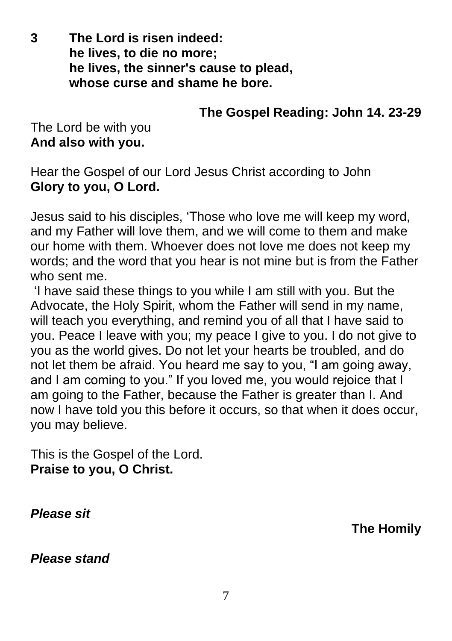**3 The Lord is risen indeed: he lives, to die no more; he lives, the sinner's cause to plead, whose curse and shame he bore.**

# **The Gospel Reading: John 14. 23-29**

The Lord be with you **And also with you.**

Hear the Gospel of our Lord Jesus Christ according to John **Glory to you, O Lord.**

Jesus said to his disciples, 'Those who love me will keep my word, and my Father will love them, and we will come to them and make our home with them. Whoever does not love me does not keep my words; and the word that you hear is not mine but is from the Father who sent me.

'I have said these things to you while I am still with you. But the Advocate, the Holy Spirit, whom the Father will send in my name, will teach you everything, and remind you of all that I have said to you. Peace I leave with you; my peace I give to you. I do not give to you as the world gives. Do not let your hearts be troubled, and do not let them be afraid. You heard me say to you, "I am going away, and I am coming to you." If you loved me, you would rejoice that I am going to the Father, because the Father is greater than I. And now I have told you this before it occurs, so that when it does occur, you may believe.

This is the Gospel of the Lord. **Praise to you, O Christ.**

*Please sit*

**The Homily**

*Please stand*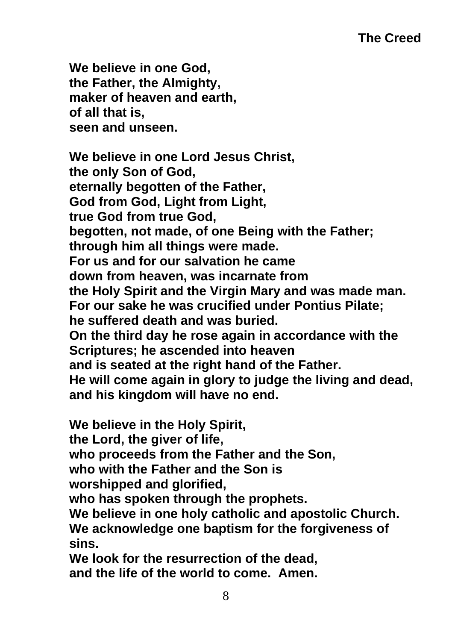**We believe in one God, the Father, the Almighty, maker of heaven and earth, of all that is, seen and unseen.**

**We believe in one Lord Jesus Christ, the only Son of God, eternally begotten of the Father, God from God, Light from Light, true God from true God, begotten, not made, of one Being with the Father; through him all things were made. For us and for our salvation he came down from heaven, was incarnate from the Holy Spirit and the Virgin Mary and was made man. For our sake he was crucified under Pontius Pilate; he suffered death and was buried. On the third day he rose again in accordance with the Scriptures; he ascended into heaven and is seated at the right hand of the Father. He will come again in glory to judge the living and dead, and his kingdom will have no end.**

**We believe in the Holy Spirit,**

**the Lord, the giver of life,**

**who proceeds from the Father and the Son,**

**who with the Father and the Son is**

**worshipped and glorified,**

**who has spoken through the prophets.**

**We believe in one holy catholic and apostolic Church. We acknowledge one baptism for the forgiveness of sins.**

**We look for the resurrection of the dead, and the life of the world to come. Amen.**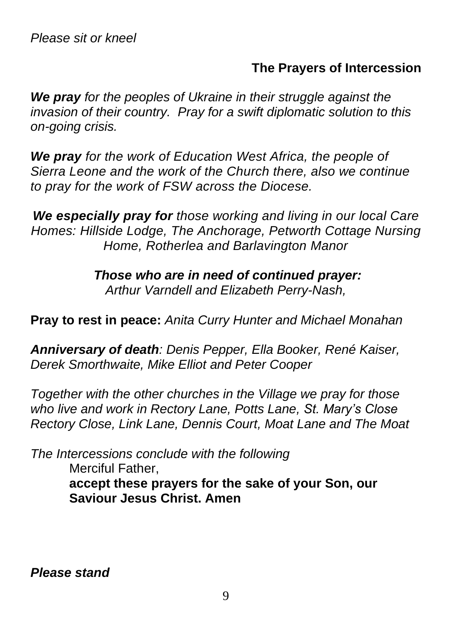#### **The Prayers of Intercession**

*We pray for the peoples of Ukraine in their struggle against the invasion of their country. Pray for a swift diplomatic solution to this on-going crisis.*

*We pray for the work of Education West Africa, the people of Sierra Leone and the work of the Church there, also we continue to pray for the work of FSW across the Diocese.*

*We especially pray for those working and living in our local Care Homes: Hillside Lodge, The Anchorage, Petworth Cottage Nursing Home, Rotherlea and Barlavington Manor*

> *Those who are in need of continued prayer: Arthur Varndell and Elizabeth Perry-Nash,*

**Pray to rest in peace:** *Anita Curry Hunter and Michael Monahan*

*Anniversary of death: Denis Pepper, Ella Booker, René Kaiser, Derek Smorthwaite, Mike Elliot and Peter Cooper*

*Together with the other churches in the Village we pray for those who live and work in Rectory Lane, Potts Lane, St. Mary's Close Rectory Close, Link Lane, Dennis Court, Moat Lane and The Moat*

*The Intercessions conclude with the following* Merciful Father, **accept these prayers for the sake of your Son, our Saviour Jesus Christ. Amen**

*Please stand*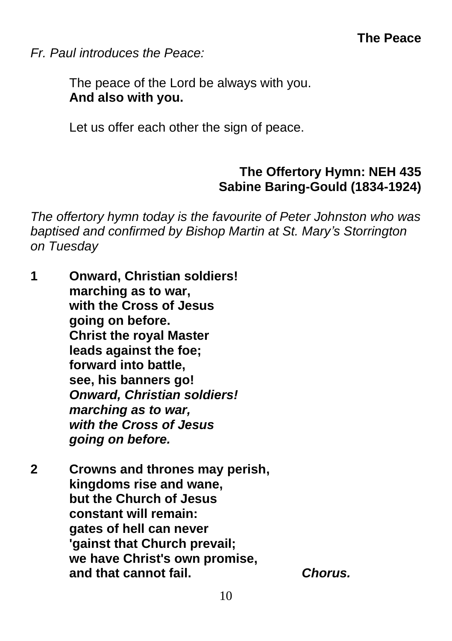*Fr. Paul introduces the Peace:*

The peace of the Lord be always with you. **And also with you.**

Let us offer each other the sign of peace.

# **The Offertory Hymn: NEH 435 Sabine Baring-Gould (1834-1924)**

*The offertory hymn today is the favourite of Peter Johnston who was baptised and confirmed by Bishop Martin at St. Mary's Storrington on Tuesday*

- **1 Onward, Christian soldiers! marching as to war, with the Cross of Jesus going on before. Christ the royal Master leads against the foe; forward into battle, see, his banners go!** *Onward, Christian soldiers! marching as to war, with the Cross of Jesus going on before.*
- **2 Crowns and thrones may perish, kingdoms rise and wane, but the Church of Jesus constant will remain: gates of hell can never 'gainst that Church prevail; we have Christ's own promise, and that cannot fail.** *Chorus.*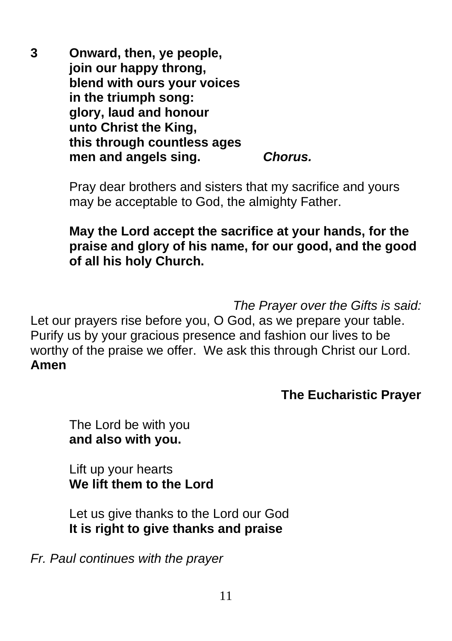**3 Onward, then, ye people, join our happy throng, blend with ours your voices in the triumph song: glory, laud and honour unto Christ the King, this through countless ages men and angels sing.** *Chorus.* 

> Pray dear brothers and sisters that my sacrifice and yours may be acceptable to God, the almighty Father.

**May the Lord accept the sacrifice at your hands, for the praise and glory of his name, for our good, and the good of all his holy Church.**

*The Prayer over the Gifts is said:*

Let our prayers rise before you, O God, as we prepare your table. Purify us by your gracious presence and fashion our lives to be worthy of the praise we offer. We ask this through Christ our Lord. **Amen**

#### **The Eucharistic Prayer**

The Lord be with you **and also with you.**

Lift up your hearts **We lift them to the Lord**

Let us give thanks to the Lord our God **It is right to give thanks and praise**

*Fr. Paul continues with the prayer*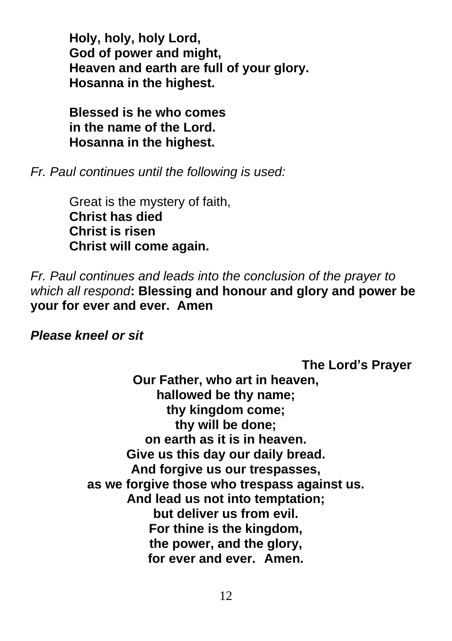**Holy, holy, holy Lord, God of power and might, Heaven and earth are full of your glory. Hosanna in the highest.**

**Blessed is he who comes in the name of the Lord. Hosanna in the highest.**

*Fr. Paul continues until the following is used:*

Great is the mystery of faith, **Christ has died Christ is risen Christ will come again.**

*Fr. Paul continues and leads into the conclusion of the prayer to which all respond***: Blessing and honour and glory and power be your for ever and ever. Amen**

*Please kneel or sit*

**The Lord's Prayer Our Father, who art in heaven, hallowed be thy name; thy kingdom come; thy will be done; on earth as it is in heaven. Give us this day our daily bread. And forgive us our trespasses, as we forgive those who trespass against us. And lead us not into temptation; but deliver us from evil. For thine is the kingdom, the power, and the glory, for ever and ever. Amen.**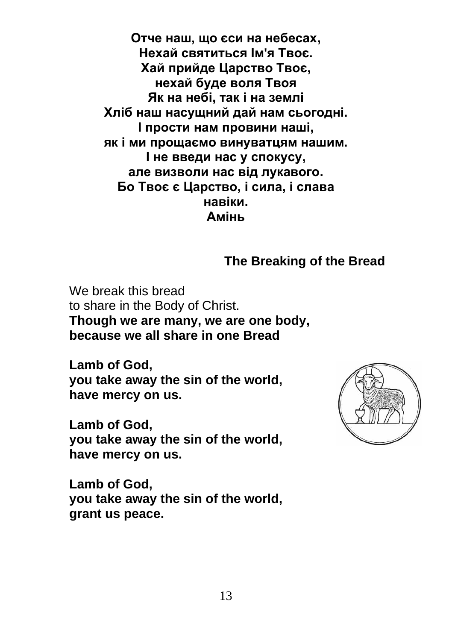**Отче наш, що єси на небесах, Нехай святиться Ім'я Твоє. Хай прийде Царство Твоє, нехай буде воля Твоя Як на небі, так і на землі Хліб наш насущний дай нам сьогодні. І прости нам провини наші, як і ми прощаємо винуватцям нашим. І не введи нас у спокусу, але визволи нас від лукавого. Бо Твоє є Царство, і сила, і слава навіки. Амінь**

**The Breaking of the Bread**

We break this bread to share in the Body of Christ. **Though we are many, we are one body, because we all share in one Bread**

**Lamb of God, you take away the sin of the world, have mercy on us.**

**Lamb of God, you take away the sin of the world, have mercy on us.**

**Lamb of God, you take away the sin of the world, grant us peace.**

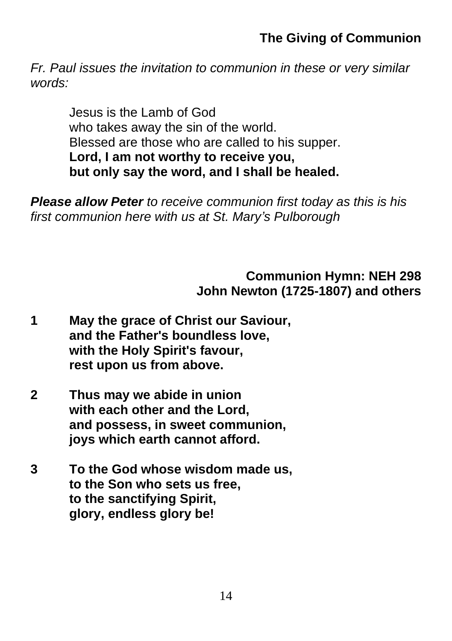# **The Giving of Communion**

*Fr. Paul issues the invitation to communion in these or very similar words:*

Jesus is the Lamb of God who takes away the sin of the world. Blessed are those who are called to his supper. **Lord, I am not worthy to receive you, but only say the word, and I shall be healed.**

*Please allow Peter to receive communion first today as this is his first communion here with us at St. Mary's Pulborough*

> **Communion Hymn: NEH 298 John Newton (1725-1807) and others**

- **1 May the grace of Christ our Saviour, and the Father's boundless love, with the Holy Spirit's favour, rest upon us from above.**
- **2 Thus may we abide in union with each other and the Lord, and possess, in sweet communion, joys which earth cannot afford.**
- **3 To the God whose wisdom made us, to the Son who sets us free, to the sanctifying Spirit, glory, endless glory be!**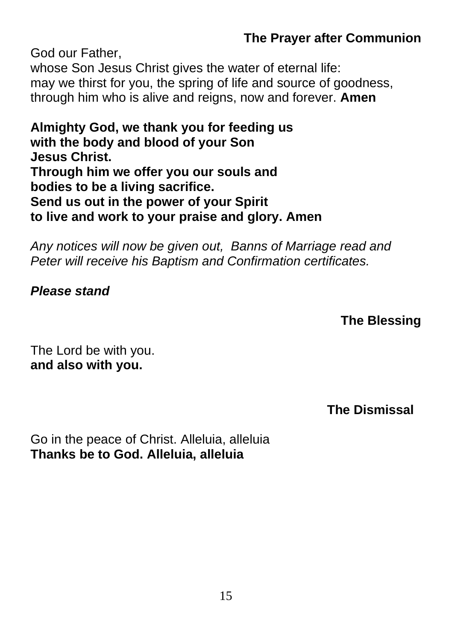# **The Prayer after Communion**

God our Father, whose Son Jesus Christ gives the water of eternal life: may we thirst for you, the spring of life and source of goodness, through him who is alive and reigns, now and forever. **Amen**

**Almighty God, we thank you for feeding us with the body and blood of your Son Jesus Christ. Through him we offer you our souls and bodies to be a living sacrifice. Send us out in the power of your Spirit to live and work to your praise and glory. Amen**

*Any notices will now be given out, Banns of Marriage read and Peter will receive his Baptism and Confirmation certificates.*

#### *Please stand*

#### **The Blessing**

The Lord be with you. **and also with you.**

**The Dismissal**

Go in the peace of Christ. Alleluia, alleluia **Thanks be to God. Alleluia, alleluia**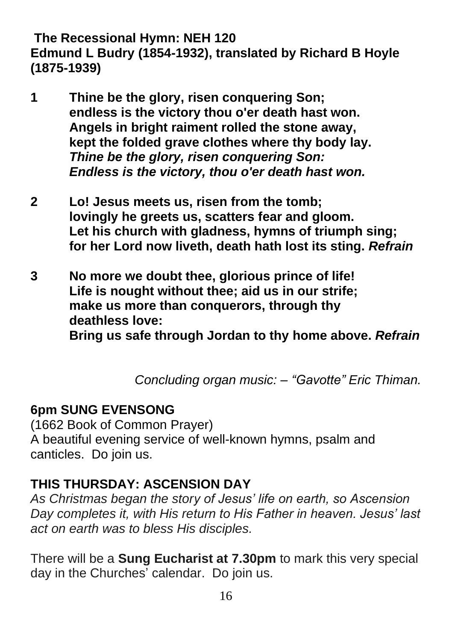#### **The Recessional Hymn: NEH 120 Edmund L Budry (1854-1932), translated by Richard B Hoyle (1875-1939)**

- **1 Thine be the glory, risen conquering Son; endless is the victory thou o'er death hast won. Angels in bright raiment rolled the stone away, kept the folded grave clothes where thy body lay.** *Thine be the glory, risen conquering Son: Endless is the victory, thou o'er death hast won.*
- **2 Lo! Jesus meets us, risen from the tomb; lovingly he greets us, scatters fear and gloom. Let his church with gladness, hymns of triumph sing; for her Lord now liveth, death hath lost its sting.** *Refrain*
- **3 No more we doubt thee, glorious prince of life! Life is nought without thee; aid us in our strife; make us more than conquerors, through thy deathless love: Bring us safe through Jordan to thy home above.** *Refrain*

 *Concluding organ music: – "Gavotte" Eric Thiman.*

# **6pm SUNG EVENSONG**

(1662 Book of Common Prayer) A beautiful evening service of well-known hymns, psalm and canticles. Do join us.

# **THIS THURSDAY: ASCENSION DAY**

*As Christmas began the story of Jesus' life on earth, so Ascension Day completes it, with His return to His Father in heaven. Jesus' last act on earth was to bless His disciples.*

There will be a **Sung Eucharist at 7.30pm** to mark this very special day in the Churches' calendar. Do join us.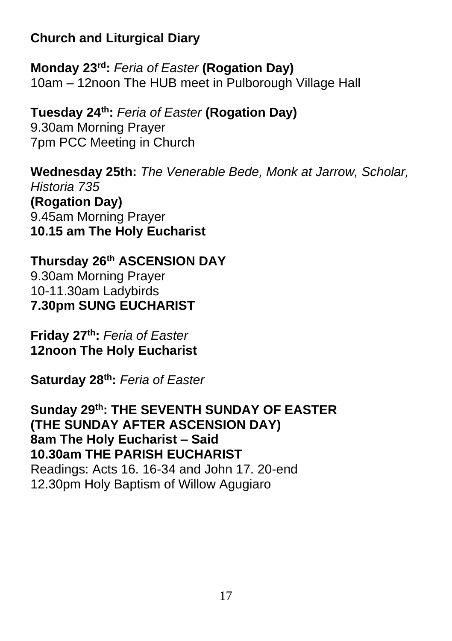# **Church and Liturgical Diary**

**Monday 23rd:** *Feria of Easter* **(Rogation Day)** 10am – 12noon The HUB meet in Pulborough Village Hall

**Tuesday 24th:** *Feria of Easter* **(Rogation Day)** 9.30am Morning Prayer 7pm PCC Meeting in Church

**Wednesday 25th:** *The Venerable Bede, Monk at Jarrow, Scholar, Historia 735* **(Rogation Day)** 9.45am Morning Prayer **10.15 am The Holy Eucharist**

**Thursday 26th ASCENSION DAY** 9.30am Morning Prayer 10-11.30am Ladybirds **7.30pm SUNG EUCHARIST**

**Friday 27th:** *Feria of Easter* **12noon The Holy Eucharist** 

**Saturday 28th:** *Feria of Easter*

**Sunday 29th: THE SEVENTH SUNDAY OF EASTER (THE SUNDAY AFTER ASCENSION DAY) 8am The Holy Eucharist – Said 10.30am THE PARISH EUCHARIST** Readings: Acts 16. 16-34 and John 17. 20-end 12.30pm Holy Baptism of Willow Agugiaro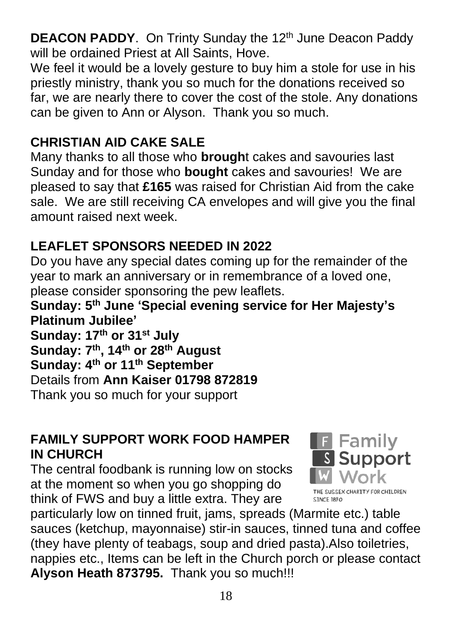**DEACON PADDY.** On Trinty Sunday the 12<sup>th</sup> June Deacon Paddy will be ordained Priest at All Saints, Hove.

We feel it would be a lovely gesture to buy him a stole for use in his priestly ministry, thank you so much for the donations received so far, we are nearly there to cover the cost of the stole. Any donations can be given to Ann or Alyson. Thank you so much.

# **CHRISTIAN AID CAKE SALE**

Many thanks to all those who **brough**t cakes and savouries last Sunday and for those who **bought** cakes and savouries! We are pleased to say that **£165** was raised for Christian Aid from the cake sale. We are still receiving CA envelopes and will give you the final amount raised next week.

# **LEAFLET SPONSORS NEEDED IN 2022**

Do you have any special dates coming up for the remainder of the year to mark an anniversary or in remembrance of a loved one, please consider sponsoring the pew leaflets.

**Sunday: 5 th June 'Special evening service for Her Majesty's Platinum Jubilee'**

**Sunday: 17th or 31st July Sunday: 7 th , 14th or 28 th August Sunday: 4th or 11th September** Details from **Ann Kaiser 01798 872819** Thank you so much for your support

# **FAMILY SUPPORT WORK FOOD HAMPER IN CHURCH**

The central foodbank is running low on stocks at the moment so when you go shopping do think of FWS and buy a little extra. They are



particularly low on tinned fruit, jams, spreads (Marmite etc.) table sauces (ketchup, mayonnaise) stir-in sauces, tinned tuna and coffee (they have plenty of teabags, soup and dried pasta).Also toiletries, nappies etc., Items can be left in the Church porch or please contact **Alyson Heath 873795.** Thank you so much!!!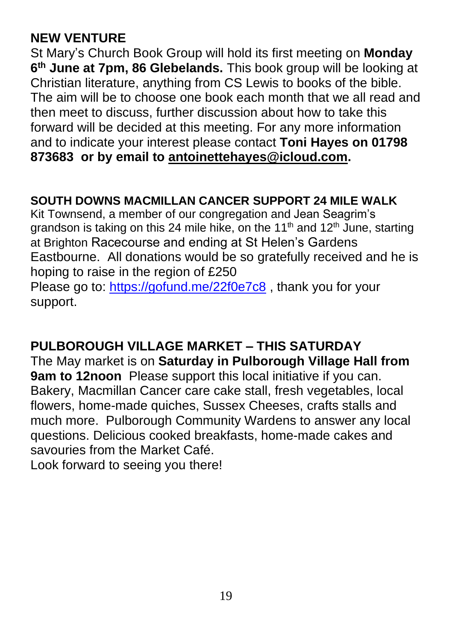# **NEW VENTURE**

St Mary's Church Book Group will hold its first meeting on **Monday 6 th June at 7pm, 86 Glebelands.** This book group will be looking at Christian literature, anything from CS Lewis to books of the bible. The aim will be to choose one book each month that we all read and then meet to discuss, further discussion about how to take this forward will be decided at this meeting. For any more information and to indicate your interest please contact **Toni Hayes on 01798 873683 or by email to [antoinettehayes@icloud.com.](mailto:antoinettehayes@icloud.com)**

# **SOUTH DOWNS MACMILLAN CANCER SUPPORT 24 MILE WALK**

Kit Townsend, a member of our congregation and Jean Seagrim's grandson is taking on this 24 mile hike, on the 11<sup>th</sup> and 12<sup>th</sup> June, starting at Brighton Racecourse and ending at St Helen's Gardens Eastbourne. All donations would be so gratefully received and he is hoping to raise in the region of £250

Please go to: [https://gofund.me/22f0e7c8](https://nam12.safelinks.protection.outlook.com/?url=https%3A%2F%2Fgofund.me%2F22f0e7c8&data=05%7C01%7C%7C4e41a65be63b4103348508da37feb406%7C84df9e7fe9f640afb435aaaaaaaaaaaa%7C1%7C0%7C637883864320821782%7CUnknown%7CTWFpbGZsb3d8eyJWIjoiMC4wLjAwMDAiLCJQIjoiV2luMzIiLCJBTiI6Ik1haWwiLCJXVCI6Mn0%3D%7C3000%7C%7C%7C&sdata=l9gvtxvXpVhUzeCVNfF6wG%2B7U1XMIPf6oMMBPYRBqhA%3D&reserved=0), thank you for your support.

# **PULBOROUGH VILLAGE MARKET – THIS SATURDAY**

The May market is on **Saturday in Pulborough Village Hall from 9am to 12noon** Please support this local initiative if you can. Bakery, Macmillan Cancer care cake stall, fresh vegetables, local flowers, home-made quiches, Sussex Cheeses, crafts stalls and much more. Pulborough Community Wardens to answer any local questions. Delicious cooked breakfasts, home-made cakes and savouries from the Market Café.

Look forward to seeing you there!